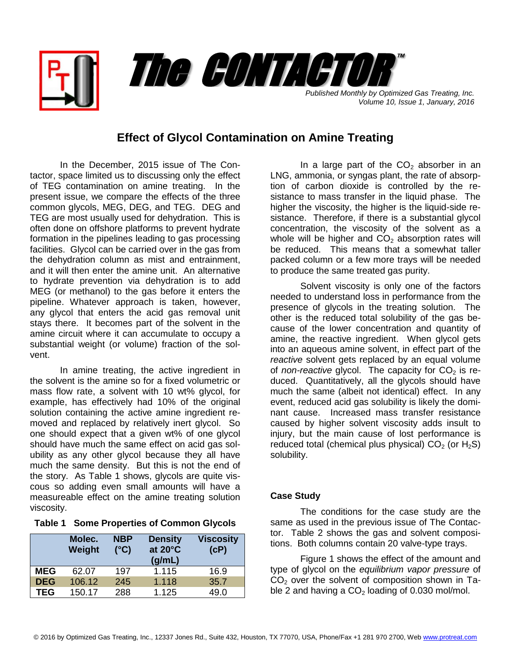

*Published Monthly by Optimized Gas Treating, Inc. Volume 10, Issue 1, January, 2016*

## **Effect of Glycol Contamination on Amine Treating**

In the December, 2015 issue of The Contactor, space limited us to discussing only the effect of TEG contamination on amine treating. In the present issue, we compare the effects of the three common glycols, MEG, DEG, and TEG. DEG and TEG are most usually used for dehydration. This is often done on offshore platforms to prevent hydrate formation in the pipelines leading to gas processing facilities. Glycol can be carried over in the gas from the dehydration column as mist and entrainment, and it will then enter the amine unit. An alternative to hydrate prevention via dehydration is to add MEG (or methanol) to the gas before it enters the pipeline. Whatever approach is taken, however, any glycol that enters the acid gas removal unit stays there. It becomes part of the solvent in the amine circuit where it can accumulate to occupy a substantial weight (or volume) fraction of the solvent.

In amine treating, the active ingredient in the solvent is the amine so for a fixed volumetric or mass flow rate, a solvent with 10 wt% glycol, for example, has effectively had 10% of the original solution containing the active amine ingredient removed and replaced by relatively inert glycol. So one should expect that a given wt% of one glycol should have much the same effect on acid gas solubility as any other glycol because they all have much the same density. But this is not the end of the story. As Table 1 shows, glycols are quite viscous so adding even small amounts will have a measureable effect on the amine treating solution viscosity.

|  | Table 1 Some Properties of Common Glycols |  |  |  |
|--|-------------------------------------------|--|--|--|
|--|-------------------------------------------|--|--|--|

|            | Molec.<br>Weight | <b>NBP</b><br>$(^{\circ}C)$ | <b>Density</b><br>at 20°C<br>(g/mL) | <b>Viscosity</b><br>(CP) |
|------------|------------------|-----------------------------|-------------------------------------|--------------------------|
| <b>MEG</b> | 62.07            | 197                         | 1.115                               | 16.9                     |
| <b>DEG</b> | 106.12           | 245                         | 1.118                               | 35.7                     |
| <b>TEG</b> | 150.17           | 288                         | 1.125                               | 49.0                     |

In a large part of the  $CO<sub>2</sub>$  absorber in an LNG, ammonia, or syngas plant, the rate of absorption of carbon dioxide is controlled by the resistance to mass transfer in the liquid phase. The higher the viscosity, the higher is the liquid-side resistance. Therefore, if there is a substantial glycol concentration, the viscosity of the solvent as a whole will be higher and  $CO<sub>2</sub>$  absorption rates will be reduced. This means that a somewhat taller packed column or a few more trays will be needed to produce the same treated gas purity.

Solvent viscosity is only one of the factors needed to understand loss in performance from the presence of glycols in the treating solution. The other is the reduced total solubility of the gas because of the lower concentration and quantity of amine, the reactive ingredient. When glycol gets into an aqueous amine solvent, in effect part of the *reactive* solvent gets replaced by an equal volume of *non-reactive* glycol. The capacity for  $CO<sub>2</sub>$  is reduced. Quantitatively, all the glycols should have much the same (albeit not identical) effect. In any event, reduced acid gas solubility is likely the dominant cause. Increased mass transfer resistance caused by higher solvent viscosity adds insult to injury, but the main cause of lost performance is reduced total (chemical plus physical)  $CO<sub>2</sub>$  (or H<sub>2</sub>S) solubility.

## **Case Study**

The conditions for the case study are the same as used in the previous issue of The Contactor. Table 2 shows the gas and solvent compositions. Both columns contain 20 valve-type trays.

Figure 1 shows the effect of the amount and type of glycol on the *equilibrium vapor pressure* of  $CO<sub>2</sub>$  over the solvent of composition shown in Table 2 and having a  $CO<sub>2</sub>$  loading of 0.030 mol/mol.